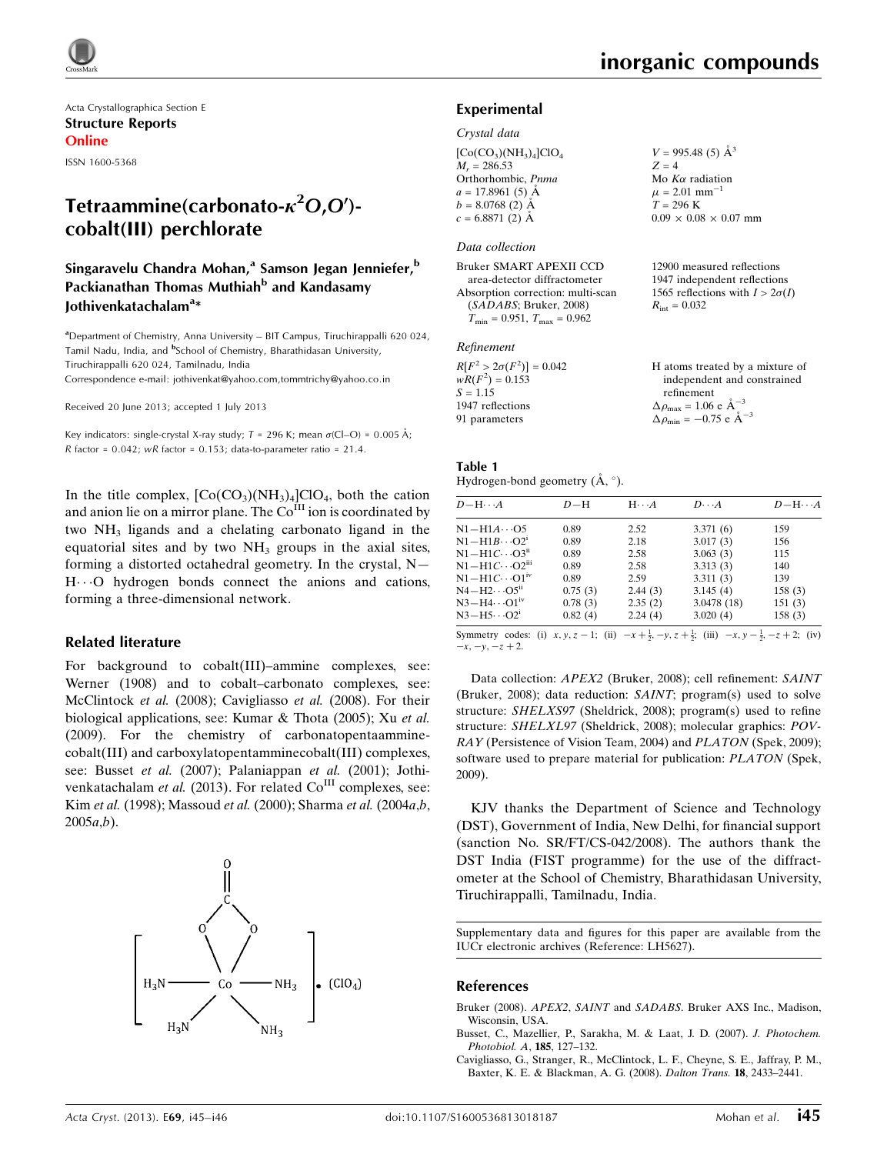Acta Crystallographica Section E Structure Reports Online

ISSN 1600-5368

# Tetraammine(carbonato- $\kappa^2$ O,O')cobalt(III) perchlorate

# Singaravelu Chandra Mohan,<sup>a</sup> Samson Jegan Jenniefer,<sup>b</sup> Packianathan Thomas Muthiah<sup>b</sup> and Kandasamy Jothivenkatachalam<sup>a</sup>\*

<sup>a</sup> Department of Chemistry, Anna University – BIT Campus, Tiruchirappalli 620 024, Tamil Nadu, India, and <sup>b</sup>School of Chemistry, Bharathidasan University, Tiruchirappalli 620 024, Tamilnadu, India Correspondence e-mail: [jothivenkat@yahoo.com,tommtrichy@yahoo.co.in](https://scripts.iucr.org/cgi-bin/cr.cgi?rm=pdfbb&cnor=lh5627&bbid=BB18)

Received 20 June 2013; accepted 1 July 2013

Key indicators: single-crystal X-ray study;  $T$  = 296 K; mean  $\sigma$ (Cl–O) = 0.005 Å;  $R$  factor = 0.042; wR factor = 0.153; data-to-parameter ratio = 21.4.

In the title complex,  $[Co(CO<sub>3</sub>)(NH<sub>3</sub>)<sub>4</sub>]ClO<sub>4</sub>$ , both the cation and anion lie on a mirror plane. The  $Co<sup>III</sup>$  ion is coordinated by two NH3 ligands and a chelating carbonato ligand in the equatorial sites and by two  $NH<sub>3</sub>$  groups in the axial sites, forming a distorted octahedral geometry. In the crystal, N— H...O hydrogen bonds connect the anions and cations, forming a three-dimensional network.

### Related literature

For background to cobalt(III)–ammine complexes, see: Werner (1908) and to cobalt–carbonato complexes, see: McClintock et al. (2008); Cavigliasso et al. (2008). For their biological applications, see: Kumar & Thota (2005); Xu et al. (2009). For the chemistry of carbonatopentaamminecobalt(III) and carboxylatopentamminecobalt(III) complexes, see: Busset et al. (2007); Palaniappan et al. (2001); Jothivenkatachalam et al. (2013). For related  $Co<sup>III</sup>$  complexes, see: Kim et al. (1998); Massoud et al. (2000); Sharma et al. (2004a,b,  $2005a,b$ ).



 $V = 995.48(5)$   $\AA^3$ 

Mo  $K\alpha$  radiation  $\mu$  = 2.01 mm<sup>-1</sup>  $T = 296 \text{ K}$ 

 $R_{\text{int}} = 0.032$ 

 $0.09 \times 0.08 \times 0.07$  mm

12900 measured reflections 1947 independent reflections 1565 reflections with  $I > 2\sigma(I)$ 

 $Z = 4$ 

### Experimental

#### Crystal data

| $[Co(CO3)(NH3)4]ClO4$ |
|-----------------------|
| $M_r = 286.53$        |
| Orthorhombic, Pnma    |
| $a = 17.8961(5)$ Å    |
| $b = 8.0768(2)$ Å     |
| $c = 6.8871(2)$ Å     |
|                       |

### Data collection

Bruker SMART APEXII CCD area-detector diffractometer Absorption correction: multi-scan (SADABS; Bruker, 2008)  $T_{\text{min}} = 0.951, T_{\text{max}} = 0.962$ 

### Refinement

| $R[F^2 > 2\sigma(F^2)] = 0.042$ | H atoms treated by a mixture of                      |
|---------------------------------|------------------------------------------------------|
| $wR(F^2) = 0.153$               | independent and constrained                          |
| $S = 1.15$                      | refinement                                           |
| 1947 reflections                | $\Delta \rho_{\text{max}} = 1.06 \text{ e A}^{-3}$   |
| 91 parameters                   | $\Delta \rho_{\text{min}} = -0.75$ e $\rm{\AA}^{-3}$ |

| Table 1                                       |  |
|-----------------------------------------------|--|
| Hydrogen-bond geometry $(\dot{A}, \degree)$ . |  |

| $D - H \cdots A$                    | $D-H$   | $H \cdots A$ | $D\cdots A$ | $D - H \cdots A$ |
|-------------------------------------|---------|--------------|-------------|------------------|
| $N1 - H1A \cdots 05$                | 0.89    | 2.52         | 3.371(6)    | 159              |
| $N1 - H1B \cdots O2^i$              | 0.89    | 2.18         | 3.017(3)    | 156              |
| $N1 - H1C \cdots Q3$ <sup>ii</sup>  | 0.89    | 2.58         | 3.063(3)    | 115              |
| $N1 - H1C \cdots O2$ <sup>iii</sup> | 0.89    | 2.58         | 3.313(3)    | 140              |
| $N1 - H1C \cdots 01$ <sup>iv</sup>  | 0.89    | 2.59         | 3.311(3)    | 139              |
| $N4-H2\cdots$ O5 <sup>ii</sup>      | 0.75(3) | 2.44(3)      | 3.145(4)    | 158(3)           |
| $N3 - H4 \cdots O1$ <sup>iv</sup>   | 0.78(3) | 2.35(2)      | 3.0478 (18) | 151(3)           |
| $N3-H5\cdots O2^i$                  | 0.82(4) | 2.24(4)      | 3.020(4)    | 158(3)           |
|                                     |         |              |             |                  |

Symmetry codes: (i)  $x, y, z - 1$ ; (ii)  $-x + \frac{1}{2}, -y, z + \frac{1}{2}$ ; (iii)  $-x, y - \frac{1}{2}, -z + 2$ ; (iv)  $-x, -y, -z + 2.$ 

Data collection: APEX2 (Bruker, 2008); cell refinement: SAINT (Bruker, 2008); data reduction: SAINT; program(s) used to solve structure: SHELXS97 (Sheldrick, 2008); program(s) used to refine structure: SHELXL97 (Sheldrick, 2008); molecular graphics: POV-RAY (Persistence of Vision Team, 2004) and PLATON (Spek, 2009); software used to prepare material for publication: PLATON (Spek, 2009).

KJV thanks the Department of Science and Technology (DST), Government of India, New Delhi, for financial support (sanction No. SR/FT/CS-042/2008). The authors thank the DST India (FIST programme) for the use of the diffractometer at the School of Chemistry, Bharathidasan University, Tiruchirappalli, Tamilnadu, India.

Supplementary data and figures for this paper are available from the IUCr electronic archives (Reference: LH5627).

#### References

- Bruker (2008). APEX2, SAINT and SADABS[. Bruker AXS Inc., Madison,](https://scripts.iucr.org/cgi-bin/cr.cgi?rm=pdfbb&cnor=lh5627&bbid=BB1) [Wisconsin, USA.](https://scripts.iucr.org/cgi-bin/cr.cgi?rm=pdfbb&cnor=lh5627&bbid=BB1)
- [Busset, C., Mazellier, P., Sarakha, M. & Laat, J. D. \(2007\).](https://scripts.iucr.org/cgi-bin/cr.cgi?rm=pdfbb&cnor=lh5627&bbid=BB2) J. Photochem. [Photobiol. A](https://scripts.iucr.org/cgi-bin/cr.cgi?rm=pdfbb&cnor=lh5627&bbid=BB2), 185, 127–132.
- [Cavigliasso, G., Stranger, R., McClintock, L. F., Cheyne, S. E., Jaffray, P. M.,](https://scripts.iucr.org/cgi-bin/cr.cgi?rm=pdfbb&cnor=lh5627&bbid=BB3) [Baxter, K. E. & Blackman, A. G. \(2008\).](https://scripts.iucr.org/cgi-bin/cr.cgi?rm=pdfbb&cnor=lh5627&bbid=BB3) Dalton Trans. 18, 2433–2441.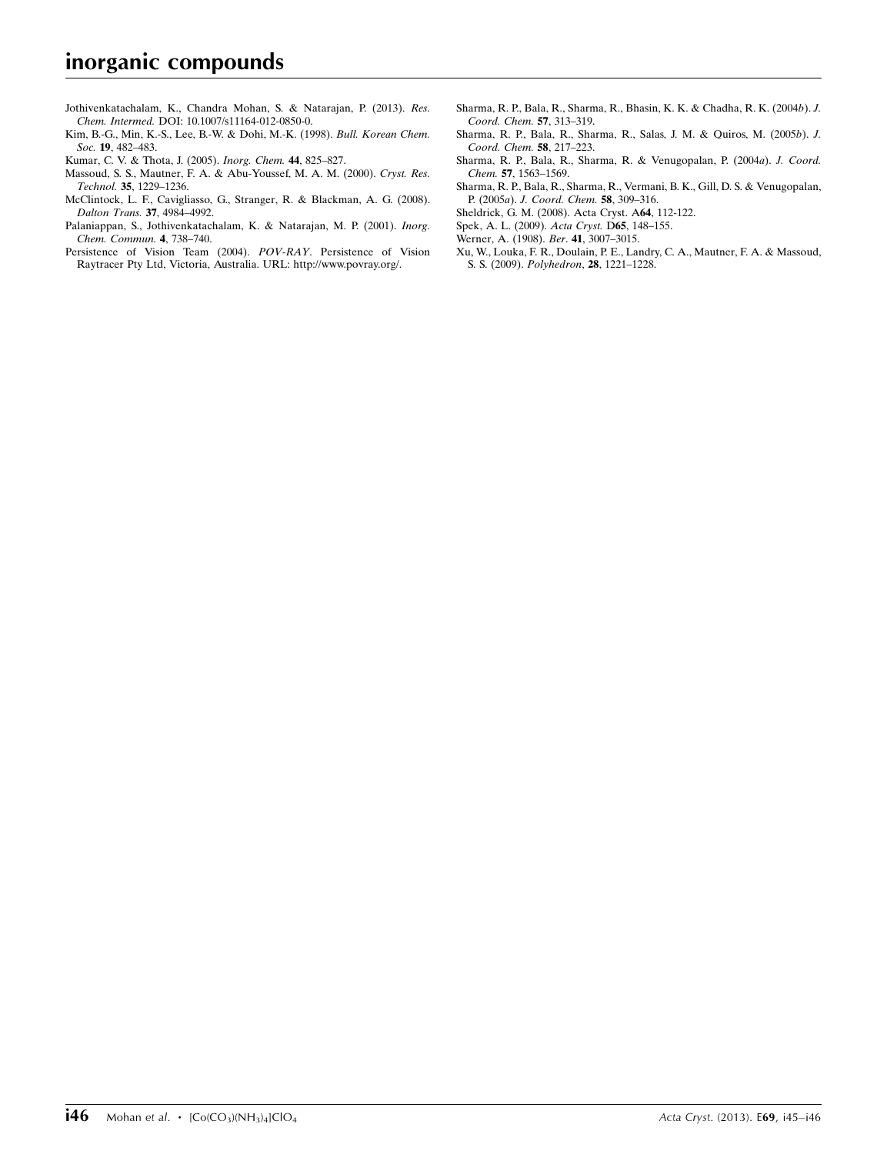- [Jothivenkatachalam, K., Chandra Mohan, S. & Natarajan, P. \(2013\).](https://scripts.iucr.org/cgi-bin/cr.cgi?rm=pdfbb&cnor=lh5627&bbid=BB4) Res. Chem. Intermed. [DOI: 10.1007/s11164-012-0850-0.](https://scripts.iucr.org/cgi-bin/cr.cgi?rm=pdfbb&cnor=lh5627&bbid=BB4)
- [Kim, B.-G., Min, K.-S., Lee, B.-W. & Dohi, M.-K. \(1998\).](https://scripts.iucr.org/cgi-bin/cr.cgi?rm=pdfbb&cnor=lh5627&bbid=BB5) Bull. Korean Chem. Soc. 19[, 482–483.](https://scripts.iucr.org/cgi-bin/cr.cgi?rm=pdfbb&cnor=lh5627&bbid=BB5)
- [Kumar, C. V. & Thota, J. \(2005\).](https://scripts.iucr.org/cgi-bin/cr.cgi?rm=pdfbb&cnor=lh5627&bbid=BB6) Inorg. Chem. 44, 825–827.
- [Massoud, S. S., Mautner, F. A. & Abu-Youssef, M. A. M. \(2000\).](https://scripts.iucr.org/cgi-bin/cr.cgi?rm=pdfbb&cnor=lh5627&bbid=BB7) Cryst. Res. Technol. 35[, 1229–1236.](https://scripts.iucr.org/cgi-bin/cr.cgi?rm=pdfbb&cnor=lh5627&bbid=BB7)
- [McClintock, L. F., Cavigliasso, G., Stranger, R. & Blackman, A. G. \(2008\).](https://scripts.iucr.org/cgi-bin/cr.cgi?rm=pdfbb&cnor=lh5627&bbid=BB8) [Dalton Trans.](https://scripts.iucr.org/cgi-bin/cr.cgi?rm=pdfbb&cnor=lh5627&bbid=BB8) 37, 4984–4992.
- [Palaniappan, S., Jothivenkatachalam, K. & Natarajan, M. P. \(2001\).](https://scripts.iucr.org/cgi-bin/cr.cgi?rm=pdfbb&cnor=lh5627&bbid=BB9) Inorg. [Chem. Commun.](https://scripts.iucr.org/cgi-bin/cr.cgi?rm=pdfbb&cnor=lh5627&bbid=BB9) 4, 738–740.
- [Persistence of Vision Team \(2004\).](https://scripts.iucr.org/cgi-bin/cr.cgi?rm=pdfbb&cnor=lh5627&bbid=BB10) POV-RAY. Persistence of Vision [Raytracer Pty Ltd, Victoria, Australia. URL: http://www.povray.org/.](https://scripts.iucr.org/cgi-bin/cr.cgi?rm=pdfbb&cnor=lh5627&bbid=BB10)
- [Sharma, R. P., Bala, R., Sharma, R., Bhasin, K. K. & Chadha, R. K. \(2004](https://scripts.iucr.org/cgi-bin/cr.cgi?rm=pdfbb&cnor=lh5627&bbid=BB11)b). J. [Coord. Chem.](https://scripts.iucr.org/cgi-bin/cr.cgi?rm=pdfbb&cnor=lh5627&bbid=BB11) 57, 313–319.
- [Sharma, R. P., Bala, R., Sharma, R., Salas, J. M. & Quiros, M. \(2005](https://scripts.iucr.org/cgi-bin/cr.cgi?rm=pdfbb&cnor=lh5627&bbid=BB12)b). J. [Coord. Chem.](https://scripts.iucr.org/cgi-bin/cr.cgi?rm=pdfbb&cnor=lh5627&bbid=BB12) 58, 217–223.
- [Sharma, R. P., Bala, R., Sharma, R. & Venugopalan, P. \(2004](https://scripts.iucr.org/cgi-bin/cr.cgi?rm=pdfbb&cnor=lh5627&bbid=BB13)a). J. Coord. Chem. 57[, 1563–1569.](https://scripts.iucr.org/cgi-bin/cr.cgi?rm=pdfbb&cnor=lh5627&bbid=BB13)
- [Sharma, R. P., Bala, R., Sharma, R., Vermani, B. K., Gill, D. S. & Venugopalan,](https://scripts.iucr.org/cgi-bin/cr.cgi?rm=pdfbb&cnor=lh5627&bbid=BB14) P. (2005a). [J. Coord. Chem.](https://scripts.iucr.org/cgi-bin/cr.cgi?rm=pdfbb&cnor=lh5627&bbid=BB14) 58, 309–316.
- [Sheldrick, G. M. \(2008\). Acta Cryst. A](https://scripts.iucr.org/cgi-bin/cr.cgi?rm=pdfbb&cnor=lh5627&bbid=BB15)64, 112-122.
- [Spek, A. L. \(2009\).](https://scripts.iucr.org/cgi-bin/cr.cgi?rm=pdfbb&cnor=lh5627&bbid=BB16) Acta Cryst. D65, 148–155.
- [Werner, A. \(1908\).](https://scripts.iucr.org/cgi-bin/cr.cgi?rm=pdfbb&cnor=lh5627&bbid=BB17) Ber. 41, 3007–3015.
- [Xu, W., Louka, F. R., Doulain, P. E., Landry, C. A., Mautner, F. A. & Massoud,](https://scripts.iucr.org/cgi-bin/cr.cgi?rm=pdfbb&cnor=lh5627&bbid=BB18) S. S. (2009). Polyhedron, 28[, 1221–1228.](https://scripts.iucr.org/cgi-bin/cr.cgi?rm=pdfbb&cnor=lh5627&bbid=BB18)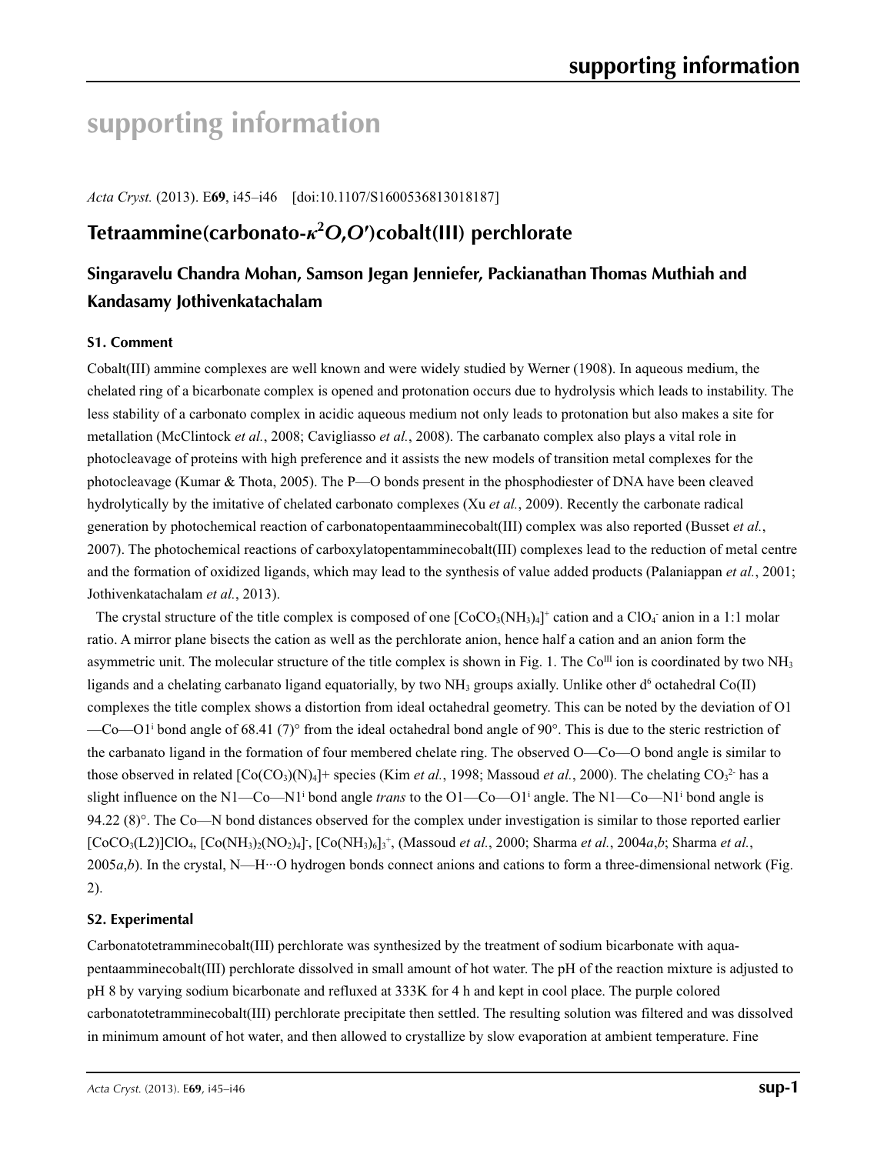# **supporting information**

*Acta Cryst.* (2013). E**69**, i45–i46 [doi:10.1107/S1600536813018187]

# **Tetraammine(carbonato-***κ***<sup>2</sup>** *O***,***O***′)cobalt(III) perchlorate**

# **Singaravelu Chandra Mohan, Samson Jegan Jenniefer, Packianathan Thomas Muthiah and Kandasamy Jothivenkatachalam**

## **S1. Comment**

Cobalt(III) ammine complexes are well known and were widely studied by Werner (1908). In aqueous medium, the chelated ring of a bicarbonate complex is opened and protonation occurs due to hydrolysis which leads to instability. The less stability of a carbonato complex in acidic aqueous medium not only leads to protonation but also makes a site for metallation (McClintock *et al.*, 2008; Cavigliasso *et al.*, 2008). The carbanato complex also plays a vital role in photocleavage of proteins with high preference and it assists the new models of transition metal complexes for the photocleavage (Kumar & Thota, 2005). The P—O bonds present in the phosphodiester of DNA have been cleaved hydrolytically by the imitative of chelated carbonato complexes (Xu *et al.*, 2009). Recently the carbonate radical generation by photochemical reaction of carbonatopentaamminecobalt(III) complex was also reported (Busset *et al.*, 2007). The photochemical reactions of carboxylatopentamminecobalt(III) complexes lead to the reduction of metal centre and the formation of oxidized ligands, which may lead to the synthesis of value added products (Palaniappan *et al.*, 2001; Jothivenkatachalam *et al.*, 2013).

The crystal structure of the title complex is composed of one  $[CoCO<sub>3</sub>(NH<sub>3</sub>)<sub>4</sub>]<sup>+</sup>$  cation and a ClO<sub>4</sub> anion in a 1:1 molar ratio. A mirror plane bisects the cation as well as the perchlorate anion, hence half a cation and an anion form the asymmetric unit. The molecular structure of the title complex is shown in Fig. 1. The Co<sup>III</sup> ion is coordinated by two  $NH<sub>3</sub>$ ligands and a chelating carbanato ligand equatorially, by two  $NH<sub>3</sub>$  groups axially. Unlike other d<sup>6</sup> octahedral Co(II) complexes the title complex shows a distortion from ideal octahedral geometry. This can be noted by the deviation of O1  $-$ Co $-$ O1<sup>i</sup> bond angle of 68.41 (7)<sup>o</sup> from the ideal octahedral bond angle of 90<sup>o</sup>. This is due to the steric restriction of the carbanato ligand in the formation of four membered chelate ring. The observed O—Co—O bond angle is similar to those observed in related  $[Co(CO<sub>3</sub>)(N)<sub>4</sub>]$ + species (Kim *et al.*, 1998; Massoud *et al.*, 2000). The chelating  $CO<sub>3</sub><sup>2</sup>$  has a slight influence on the N1—Co—N1<sup>i</sup> bond angle *trans* to the O1—Co—O1<sup>i</sup> angle. The N1—Co—N1<sup>i</sup> bond angle is 94.22  $(8)^\circ$ . The Co—N bond distances observed for the complex under investigation is similar to those reported earlier  $[CoCO<sub>3</sub>(L2)]ClO<sub>4</sub>, [Co(NH<sub>3</sub>)<sub>2</sub>(NO<sub>2</sub>)<sub>4</sub>], [Co(NH<sub>3</sub>)<sub>6</sub>]<sub>3</sub><sup>+</sup>, (Massoud *et al.*, 2000; Sharma *et al.*, 2004*a,b*; Sharma *et al.*,$  $2005a,b$ ). In the crystal, N—H<sup> $...$ </sup>O hydrogen bonds connect anions and cations to form a three-dimensional network (Fig. 2).

## **S2. Experimental**

Carbonatotetramminecobalt(III) perchlorate was synthesized by the treatment of sodium bicarbonate with aquapentaamminecobalt(III) perchlorate dissolved in small amount of hot water. The pH of the reaction mixture is adjusted to pH 8 by varying sodium bicarbonate and refluxed at 333K for 4 h and kept in cool place. The purple colored carbonatotetramminecobalt(III) perchlorate precipitate then settled. The resulting solution was filtered and was dissolved in minimum amount of hot water, and then allowed to crystallize by slow evaporation at ambient temperature. Fine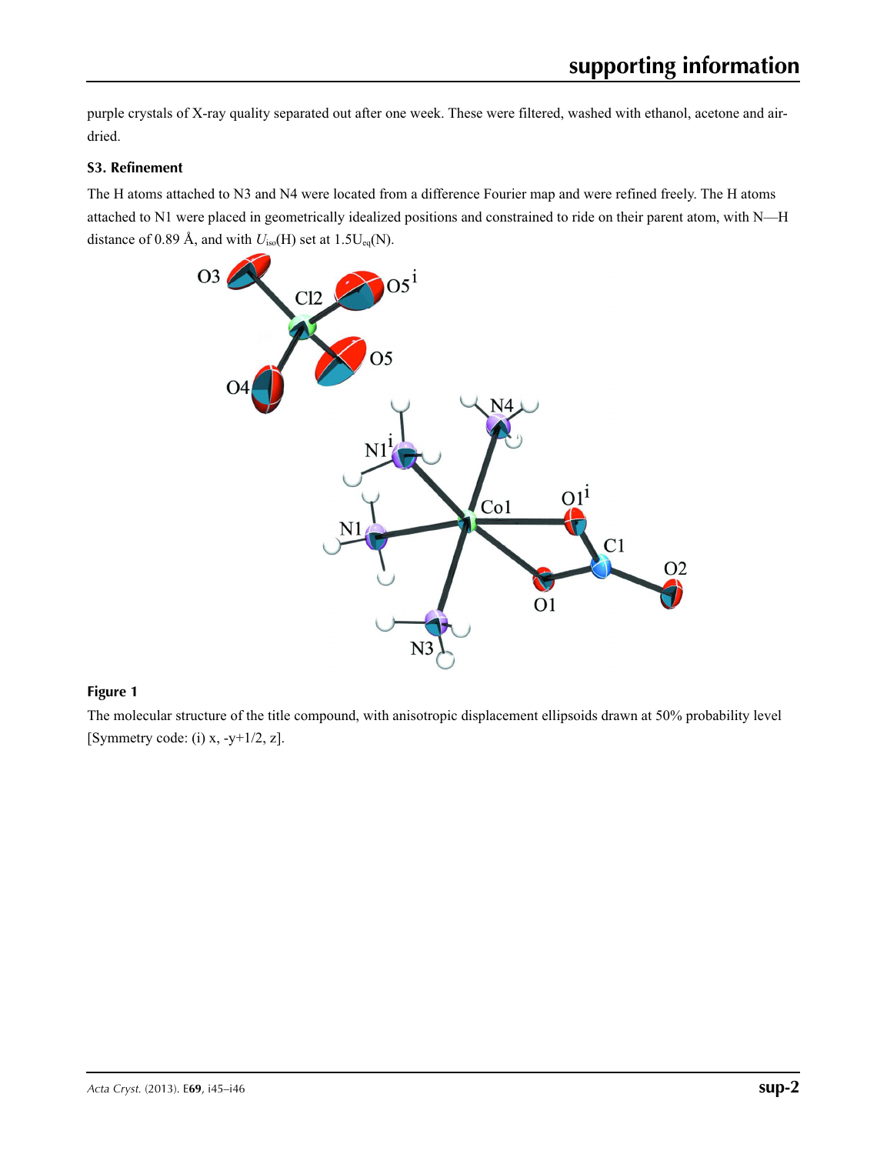purple crystals of X-ray quality separated out after one week. These were filtered, washed with ethanol, acetone and airdried.

# **S3. Refinement**

The H atoms attached to N3 and N4 were located from a difference Fourier map and were refined freely. The H atoms attached to N1 were placed in geometrically idealized positions and constrained to ride on their parent atom, with N—H distance of 0.89 Å, and with  $U_{iso}(H)$  set at 1.5U<sub>eq</sub>(N).



# **Figure 1**

The molecular structure of the title compound, with anisotropic displacement ellipsoids drawn at 50% probability level [Symmetry code:  $(i)$  x,  $-y+1/2$ , z].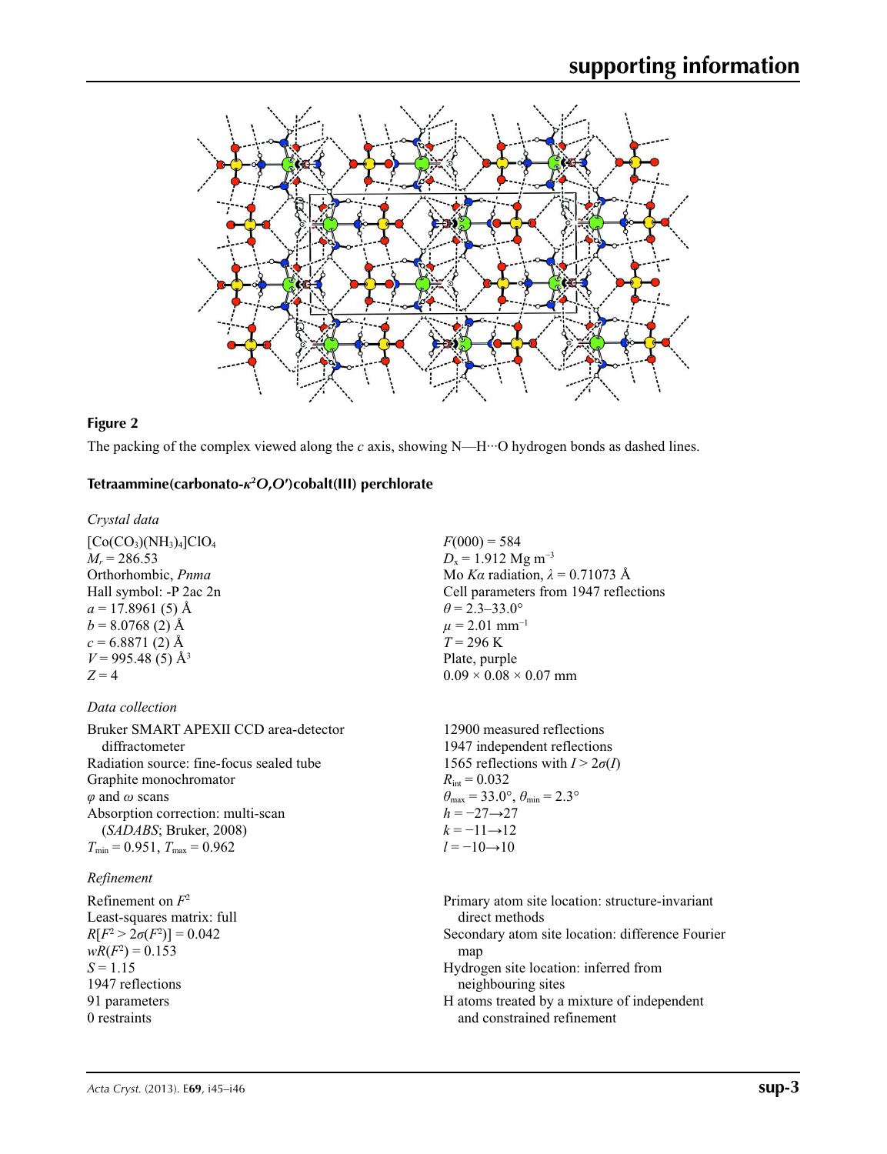

### **Figure 2**

The packing of the complex viewed along the *c* axis, showing N—H···O hydrogen bonds as dashed lines.

# **Tetraammine(carbonato-***κ***<sup>2</sup>** *O***,***O***′)cobalt(III) perchlorate**

*Crystal data*

 $[Co(CO_3)(NH_3)_4]ClO_4$  $M_r = 286.53$ Orthorhombic, *Pnma* Hall symbol: -P 2ac 2n  $a = 17.8961(5)$  Å  $b = 8.0768(2)$  Å  $c = 6.8871(2)$  Å  $V = 995.48(5)$  Å<sup>3</sup>  $Z = 4$ 

### *Data collection*

Bruker SMART APEXII CCD area-detector diffractometer Radiation source: fine-focus sealed tube Graphite monochromator *φ* and *ω* scans Absorption correction: multi-scan (*SADABS*; Bruker, 2008)  $T_{\text{min}} = 0.951$ ,  $T_{\text{max}} = 0.962$ 

### *Refinement*

Refinement on *F*<sup>2</sup> Least-squares matrix: full *R*[ $F^2 > 2\sigma(F^2)$ ] = 0.042  $wR(F^2) = 0.153$  $S = 1.15$ 1947 reflections 91 parameters 0 restraints

 $F(000) = 584$  $D_x = 1.912$  Mg m<sup>-3</sup> Mo *Kα* radiation, *λ* = 0.71073 Å Cell parameters from 1947 reflections  $\theta$  = 2.3–33.0°  $\mu$  = 2.01 mm<sup>-1</sup>  $T = 296$  K Plate, purple  $0.09 \times 0.08 \times 0.07$  mm

12900 measured reflections 1947 independent reflections 1565 reflections with  $I > 2\sigma(I)$  $R_{\text{int}} = 0.032$  $\theta_{\text{max}} = 33.0^{\circ}, \theta_{\text{min}} = 2.3^{\circ}$ *h* = −27→27  $k = -11 \rightarrow 12$  $l = -10 \rightarrow 10$ 

Primary atom site location: structure-invariant direct methods Secondary atom site location: difference Fourier map Hydrogen site location: inferred from neighbouring sites H atoms treated by a mixture of independent and constrained refinement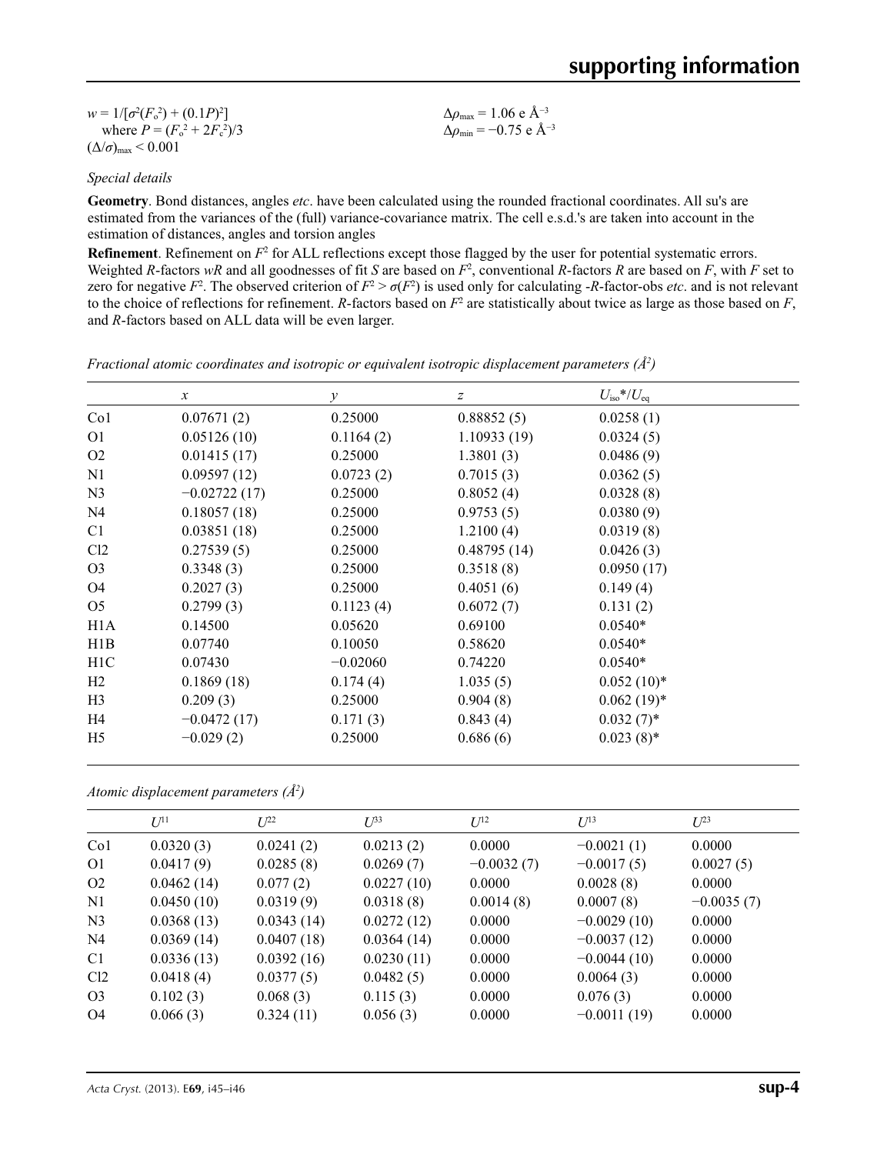| $w = 1/[\sigma^2(F_0^2) + (0.1P)^2]$   | $\Delta\rho_{\rm max}$ = 1.06 e Å <sup>-3</sup>  |
|----------------------------------------|--------------------------------------------------|
| where $P = (F_o^2 + 2F_c^2)/3$         | $\Delta\rho_{\rm min}$ = -0.75 e Å <sup>-3</sup> |
| $(\Delta/\sigma)_{\text{max}}$ < 0.001 |                                                  |

*Special details*

**Geometry**. Bond distances, angles *etc*. have been calculated using the rounded fractional coordinates. All su's are estimated from the variances of the (full) variance-covariance matrix. The cell e.s.d.'s are taken into account in the estimation of distances, angles and torsion angles

**Refinement**. Refinement on  $F^2$  for ALL reflections except those flagged by the user for potential systematic errors. Weighted *R*-factors  $wR$  and all goodnesses of fit *S* are based on  $F^2$ , conventional *R*-factors *R* are based on *F*, with *F* set to zero for negative  $F^2$ . The observed criterion of  $F^2 > \sigma(F^2)$  is used only for calculating -*R*-factor-obs *etc*. and is not relevant to the choice of reflections for refinement. *R*-factors based on  $F^2$  are statistically about twice as large as those based on  $F$ , and *R*-factors based on ALL data will be even larger.

|  | Fractional atomic coordinates and isotropic or equivalent isotropic displacement parameters $(\AA^2)$ |  |  |  |  |  |  |  |
|--|-------------------------------------------------------------------------------------------------------|--|--|--|--|--|--|--|
|--|-------------------------------------------------------------------------------------------------------|--|--|--|--|--|--|--|

|                 | $\mathcal{X}$  | $\mathcal{Y}$ | z           | $U_{\rm iso}*/U_{\rm eq}$ |  |
|-----------------|----------------|---------------|-------------|---------------------------|--|
| Co <sub>1</sub> | 0.07671(2)     | 0.25000       | 0.88852(5)  | 0.0258(1)                 |  |
| O <sub>1</sub>  | 0.05126(10)    | 0.1164(2)     | 1.10933(19) | 0.0324(5)                 |  |
| O <sub>2</sub>  | 0.01415(17)    | 0.25000       | 1.3801(3)   | 0.0486(9)                 |  |
| N1              | 0.09597(12)    | 0.0723(2)     | 0.7015(3)   | 0.0362(5)                 |  |
| N <sub>3</sub>  | $-0.02722(17)$ | 0.25000       | 0.8052(4)   | 0.0328(8)                 |  |
| N <sub>4</sub>  | 0.18057(18)    | 0.25000       | 0.9753(5)   | 0.0380(9)                 |  |
| C1              | 0.03851(18)    | 0.25000       | 1.2100(4)   | 0.0319(8)                 |  |
| Cl2             | 0.27539(5)     | 0.25000       | 0.48795(14) | 0.0426(3)                 |  |
| O <sub>3</sub>  | 0.3348(3)      | 0.25000       | 0.3518(8)   | 0.0950(17)                |  |
| O <sub>4</sub>  | 0.2027(3)      | 0.25000       | 0.4051(6)   | 0.149(4)                  |  |
| O <sub>5</sub>  | 0.2799(3)      | 0.1123(4)     | 0.6072(7)   | 0.131(2)                  |  |
| H1A             | 0.14500        | 0.05620       | 0.69100     | $0.0540*$                 |  |
| H1B             | 0.07740        | 0.10050       | 0.58620     | $0.0540*$                 |  |
| H1C             | 0.07430        | $-0.02060$    | 0.74220     | $0.0540*$                 |  |
| H2              | 0.1869(18)     | 0.174(4)      | 1.035(5)    | $0.052(10)*$              |  |
| H <sub>3</sub>  | 0.209(3)       | 0.25000       | 0.904(8)    | $0.062(19)*$              |  |
| H4              | $-0.0472(17)$  | 0.171(3)      | 0.843(4)    | $0.032(7)$ *              |  |
| H <sub>5</sub>  | $-0.029(2)$    | 0.25000       | 0.686(6)    | $0.023(8)$ *              |  |

*Atomic displacement parameters (Å2 )*

|                 | $U^{11}$   | $U^{22}$   | $U^{33}$   | $U^{12}$     | $U^{13}$      | $U^{23}$     |  |
|-----------------|------------|------------|------------|--------------|---------------|--------------|--|
| Co <sub>1</sub> | 0.0320(3)  | 0.0241(2)  | 0.0213(2)  | 0.0000       | $-0.0021(1)$  | 0.0000       |  |
| O <sub>1</sub>  | 0.0417(9)  | 0.0285(8)  | 0.0269(7)  | $-0.0032(7)$ | $-0.0017(5)$  | 0.0027(5)    |  |
| O <sub>2</sub>  | 0.0462(14) | 0.077(2)   | 0.0227(10) | 0.0000       | 0.0028(8)     | 0.0000       |  |
| N1              | 0.0450(10) | 0.0319(9)  | 0.0318(8)  | 0.0014(8)    | 0.0007(8)     | $-0.0035(7)$ |  |
| N <sub>3</sub>  | 0.0368(13) | 0.0343(14) | 0.0272(12) | 0.0000       | $-0.0029(10)$ | 0.0000       |  |
| N <sub>4</sub>  | 0.0369(14) | 0.0407(18) | 0.0364(14) | 0.0000       | $-0.0037(12)$ | 0.0000       |  |
| C <sub>1</sub>  | 0.0336(13) | 0.0392(16) | 0.0230(11) | 0.0000       | $-0.0044(10)$ | 0.0000       |  |
| Cl2             | 0.0418(4)  | 0.0377(5)  | 0.0482(5)  | 0.0000       | 0.0064(3)     | 0.0000       |  |
| O <sub>3</sub>  | 0.102(3)   | 0.068(3)   | 0.115(3)   | 0.0000       | 0.076(3)      | 0.0000       |  |
| O4              | 0.066(3)   | 0.324(11)  | 0.056(3)   | 0.0000       | $-0.0011(19)$ | 0.0000       |  |
|                 |            |            |            |              |               |              |  |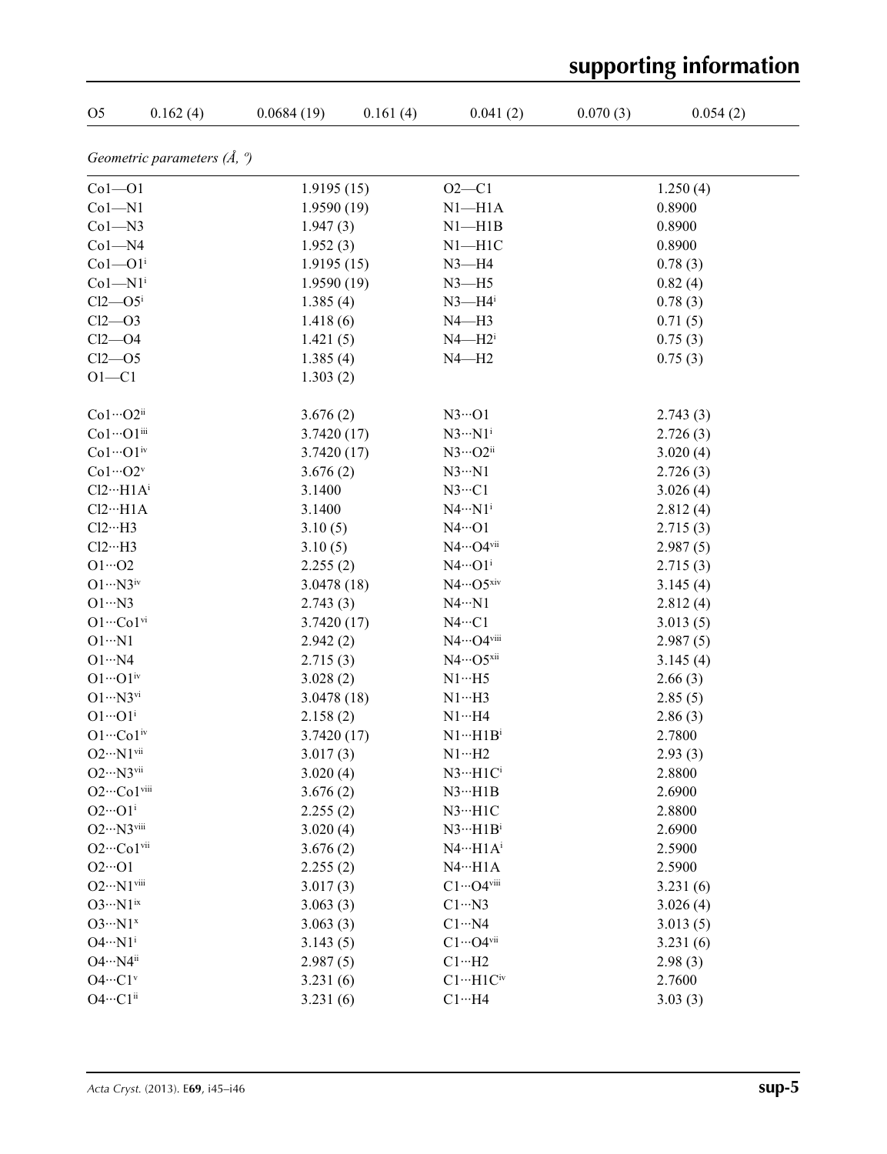|                                        |                                       |             |          |                            |          | supporting information |
|----------------------------------------|---------------------------------------|-------------|----------|----------------------------|----------|------------------------|
| O <sub>5</sub>                         | 0.162(4)                              | 0.0684(19)  | 0.161(4) | 0.041(2)                   | 0.070(3) | 0.054(2)               |
|                                        | Geometric parameters $(\AA, \degree)$ |             |          |                            |          |                        |
| $Co1 - O1$                             |                                       | 1.9195(15)  |          | $O2 - C1$                  |          | 1.250(4)               |
| $Co1 - N1$                             |                                       | 1.9590(19)  |          | $N1 - H1A$                 |          | 0.8900                 |
| $Co1 - N3$                             |                                       | 1.947(3)    |          | $N1 - H1B$                 |          | 0.8900                 |
| $Co1 - N4$                             |                                       | 1.952(3)    |          | $N1 - H1C$                 |          | 0.8900                 |
| $Co1 - O1$ <sup>i</sup>                |                                       | 1.9195(15)  |          | $N3 - H4$                  |          | 0.78(3)                |
| $Co1 - N1$ <sup>i</sup>                |                                       | 1.9590(19)  |          | $N3 - H5$                  |          | 0.82(4)                |
| $Cl2$ — $O5i$                          |                                       | 1.385(4)    |          | $N3 - H4$ <sup>i</sup>     |          | 0.78(3)                |
| $Cl2$ - $O3$                           |                                       | 1.418(6)    |          | $N4 - H3$                  |          | 0.71(5)                |
| $Cl2$ -O4                              |                                       | 1.421(5)    |          | $N4 - H2$                  |          | 0.75(3)                |
| $Cl2$ -O5                              |                                       | 1.385(4)    |          | $N4 - H2$                  |          | 0.75(3)                |
| $O1 - C1$                              |                                       | 1.303(2)    |          |                            |          |                        |
| $Co1 \cdots O2$ ii                     |                                       | 3.676(2)    |          | $N3 \cdot 01$              |          | 2.743(3)               |
| Co1…O1iii                              |                                       | 3.7420(17)  |          | $N3 \cdots N1^i$           |          | 2.726(3)               |
| $Co1 \cdots O1$ <sup>iv</sup>          |                                       | 3.7420(17)  |          | $N3\cdots$ O2ii            |          | 3.020(4)               |
| $Co1 \cdots O2^v$                      |                                       | 3.676(2)    |          | $N3 \cdot N1$              |          | 2.726(3)               |
| $Cl2 \cdots H1 A^{i}$                  |                                       | 3.1400      |          | $N3 \cdot C1$              |          | 3.026(4)               |
| $Cl2 \cdots H1A$                       |                                       | 3.1400      |          | $N4 \cdots N1^i$           |          | 2.812(4)               |
| $Cl2 \cdots H3$                        |                                       | 3.10(5)     |          | $N4 \cdot \cdot \cdot 01$  |          | 2.715(3)               |
| $Cl2 \cdots H3$                        |                                       | 3.10(5)     |          | N4…O4vii                   |          | 2.987(5)               |
| $O1 \cdots O2$                         |                                       | 2.255(2)    |          | $N4 \cdots O1^i$           |          | 2.715(3)               |
| $O1 \cdots N3^{iv}$                    |                                       | 3.0478(18)  |          | $N4\cdots$ O5xiv           |          | 3.145(4)               |
| $O1 \cdot N3$                          |                                       | 2.743(3)    |          | $N4 \cdot N1$              |          | 2.812(4)               |
| $O1 \cdots Co1$ <sup>vi</sup>          |                                       | 3.7420(17)  |          | $N4 \cdots C1$             |          | 3.013(5)               |
| $O1 \cdot \cdot \cdot N1$              |                                       | 2.942(2)    |          | N4…O4viii                  |          | 2.987(5)               |
| $O1 \cdot \cdot \cdot N4$              |                                       | 2.715(3)    |          | $N4 \cdots O5^{xii}$       |          | 3.145(4)               |
| $O1 \cdots O1$ <sup>iv</sup>           |                                       | 3.028(2)    |          | $N1 \cdots H5$             |          | 2.66(3)                |
| $O1 \cdots N3$ <sup>vi</sup>           |                                       | 3.0478 (18) |          | $N1 \cdots H3$             |          | 2.85(5)                |
| $O1 \cdot \cdot \cdot O1$ <sup>i</sup> |                                       | 2.158(2)    |          | $N1 \cdots H4$             |          | 2.86(3)                |
| $O1 \cdots Co1$ <sup>iv</sup>          |                                       | 3.7420(17)  |          | $N1 \cdots H1B^i$          |          | 2.7800                 |
| $O2 \cdot \cdot N1$ <sup>vii</sup>     |                                       | 3.017(3)    |          | $N1 \cdots H2$             |          | 2.93(3)                |
| $O2 \cdot \cdot N3$ <sup>vii</sup>     |                                       | 3.020(4)    |          | $N3 \cdots H1 C^i$         |          | 2.8800                 |
| $O2 \cdots Co1$ <sup>viii</sup>        |                                       | 3.676(2)    |          | $N3 \cdots H1B$            |          | 2.6900                 |
| $O2 \cdot \cdot \cdot O1^i$            |                                       | 2.255(2)    |          | $N3 \cdot \cdot \cdot H1C$ |          | 2.8800                 |
| $O2 \cdot \cdot \cdot N3$ viii         |                                       | 3.020(4)    |          | $N3 \cdots H1B^i$          |          | 2.6900                 |
| O <sub>2</sub> ···Co <sub>1vii</sub>   |                                       | 3.676(2)    |          | $N4 \cdots H1 A^{i}$       |          | 2.5900                 |
| $O2 \cdot O1$                          |                                       | 2.255(2)    |          | $N4 \cdot \cdot \cdot H1A$ |          | 2.5900                 |
| $O2\cdots N1$ viii                     |                                       | 3.017(3)    |          | $C1 \cdots O4$ viii        |          | 3.231(6)               |
| $O3 \cdot \cdot \cdot N1^{ix}$         |                                       | 3.063(3)    |          | $C1 \cdots N3$             |          | 3.026(4)               |
| $O3 \cdot \cdot \cdot N1^x$            |                                       | 3.063(3)    |          | $C1 \cdot \cdot \cdot N4$  |          | 3.013(5)               |
| $O4 \cdot \cdot \cdot N1^i$            |                                       | 3.143(5)    |          | $C1 \cdots O4$ vii         |          | 3.231(6)               |
| $O4 \cdot \cdot \cdot N4^{ii}$         |                                       | 2.987(5)    |          | $C1 \cdots H2$             |          | 2.98(3)                |
| $O4 \cdots C1$ <sup>v</sup>            |                                       | 3.231(6)    |          | $C1 \cdots H1C$ iv         |          | 2.7600                 |
| $O4 \cdots C1^{ii}$                    |                                       | 3.231(6)    |          | $C1 \cdots H4$             |          | 3.03(3)                |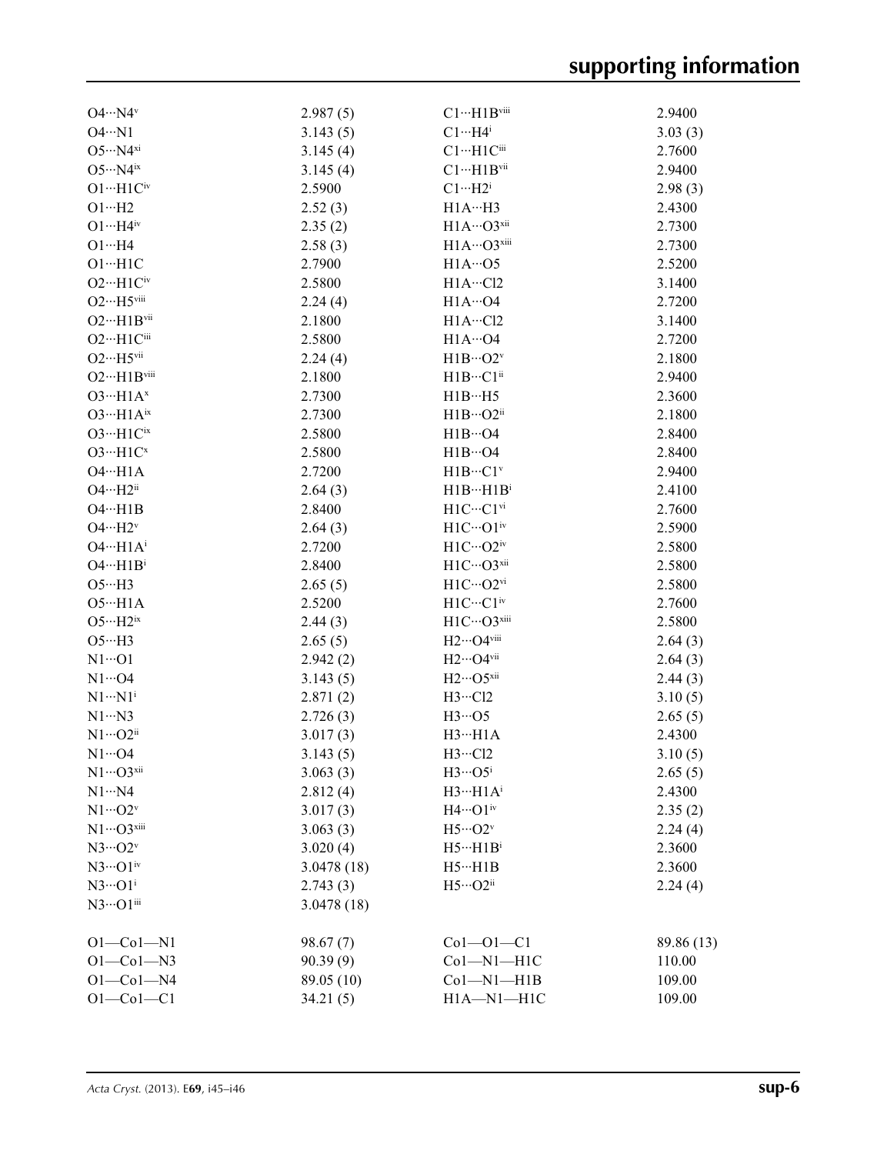| $O4 \cdot \cdot \cdot N4$ <sup>v</sup>   | 2.987(5)   | $C1 \cdots H1B$ viii                 | 2.9400     |
|------------------------------------------|------------|--------------------------------------|------------|
| $O4 \cdot N1$                            | 3.143(5)   | $C1 \cdots H4$ <sup>i</sup>          | 3.03(3)    |
| $O5 \cdot \cdot \cdot N4^{xi}$           | 3.145(4)   | $Cl \cdots H1Cl$                     | 2.7600     |
| $O5 \cdot \cdot \cdot N4$ <sup>ix</sup>  | 3.145(4)   | $C1 \cdots H1B$ vii                  | 2.9400     |
| $O1 \cdots H1 C^{iv}$                    | 2.5900     | $Cl \cdots H2^i$                     | 2.98(3)    |
| $O1 \cdot H2$                            | 2.52(3)    | H1AH3                                | 2.4300     |
| $O1 \cdots H4$ iv                        | 2.35(2)    | H1A…O3xii                            | 2.7300     |
| $O1 \cdot \cdot \cdot H4$                | 2.58(3)    | H1A…O3xiii                           | 2.7300     |
| $O1 \cdot \cdot \cdot H1C$               | 2.7900     | $H1A\cdots$ O5                       | 2.5200     |
| $O2 \cdot \cdot \cdot H1C$ <sup>iv</sup> | 2.5800     | $H1A \cdots C12$                     | 3.1400     |
| $O2 \cdots H5$ viii                      | 2.24(4)    | $H1A\cdots$ O4                       | 2.7200     |
| $O2 \cdot \cdot \cdot H1B$ vii           | 2.1800     | H1A…Cl2                              | 3.1400     |
| O <sub>2</sub> ···H <sub>1Ciii</sub>     | 2.5800     | $H1A\cdots$ O4                       | 2.7200     |
| $O2 \cdot \cdot \cdot H5$ vii            | 2.24(4)    | $H1B\cdots O2^v$                     | 2.1800     |
| O <sub>2</sub> ···H <sub>1Bviii</sub>    | 2.1800     | $H1B\cdots C1^{ii}$                  | 2.9400     |
| $O3 \cdot H1A^x$                         | 2.7300     | H1BH5                                | 2.3600     |
| $O3 \cdot \cdot \cdot H1A^{ix}$          | 2.7300     | $H1B\cdots O2^{ii}$                  | 2.1800     |
| $O3 \cdot \cdot \cdot H1C^{ix}$          | 2.5800     | $H1B\cdots$ O4                       | 2.8400     |
| $O3 \cdot \cdot \cdot H1C^x$             | 2.5800     |                                      |            |
|                                          |            | $H1B\cdots O4$                       | 2.8400     |
| $O4 \cdot \cdot \cdot H1A$               | 2.7200     | $H1B\cdots C1v$                      | 2.9400     |
| $O4 \cdot \cdot \cdot H2^{ii}$           | 2.64(3)    | $H1B\cdots H1B^i$                    | 2.4100     |
| $O4 \cdot \cdot \cdot H1B$               | 2.8400     | $H1C \cdots C1$ <sup>vi</sup>        | 2.7600     |
| $O4 \cdot \cdot \cdot H2^v$              | 2.64(3)    | $\mathrm{H1C}\cdots\mathrm{O1^{iv}}$ | 2.5900     |
| $O4 \cdot \cdot \cdot H1A^i$             | 2.7200     | $H1C\cdots O2^{\rm iv}$              | 2.5800     |
| $O4 \cdot \cdot \cdot H1B^i$             | 2.8400     | H1C…O3xii                            | 2.5800     |
| $O5 \cdot \cdot \cdot H3$                | 2.65(5)    | H1C…O2vi                             | 2.5800     |
| $O5 \cdot \cdot \cdot H1A$               | 2.5200     | $H1C\cdots C1iv$                     | 2.7600     |
| $O5 \cdot \cdot \cdot H2^{ix}$           | 2.44(3)    | H1C…O3xiii                           | 2.5800     |
| $O5 \cdot \cdot \cdot H3$                | 2.65(5)    | H <sub>2</sub> ···O4viii             | 2.64(3)    |
| $N1 \cdots 01$                           | 2.942(2)   | $H2\cdots$ O4vii                     | 2.64(3)    |
| $N1 \cdots$ O4                           | 3.143(5)   | $H2\cdots$ O5xii                     | 2.44(3)    |
| $N1 \cdots N1$ <sup>i</sup>              | 2.871(2)   | $H3 \cdots Cl2$                      | 3.10(5)    |
| $N1 \cdots N3$                           | 2.726(3)   | $H3 \cdots O5$                       | 2.65(5)    |
| $N1 \cdots O2^{ii}$                      | 3.017(3)   | $H3 \cdots H1A$                      | 2.4300     |
| $N1 \cdots$ O4                           | 3.143(5)   | $H3\cdot\cdot\cdot Cl2$              | 3.10(5)    |
| $N1 \cdots Q3$ xii                       | 3.063(3)   | $H3 \cdots O5^i$                     | 2.65(5)    |
| $N1 \cdots N4$                           | 2.812(4)   | $H3 \cdots H1 A^{i}$                 | 2.4300     |
| $N1\cdots O2^v$                          | 3.017(3)   | $H4 \cdots O1$ <sup>iv</sup>         | 2.35(2)    |
| $N1 \cdots O3$ xiii                      | 3.063(3)   | $H5\cdots O2v$                       | 2.24(4)    |
| $N3\cdots O2^v$                          | 3.020(4)   | $H5 \cdots H1B^i$                    | 2.3600     |
| $N3\cdots O1$ <sup>iv</sup>              | 3.0478(18) | $H5 \cdot \cdot \cdot H1B$           | 2.3600     |
| $N3 \cdots O1^i$                         | 2.743(3)   | $H5\cdots O2ii$                      | 2.24(4)    |
| $N3\cdots$ O $1$ iii                     | 3.0478(18) |                                      |            |
| $O1 - Co1 - N1$                          | 98.67(7)   | $Co1-O1-C1$                          | 89.86 (13) |
| $O1 - Co1 - N3$                          | 90.39(9)   | $Co1-M1-H1C$                         | 110.00     |
| $O1 - Co1 - N4$                          | 89.05 (10) | $Co1-M1-H1B$                         | 109.00     |
| $O1 - Co1 - C1$                          | 34.21(5)   | H1A-N1-H1C                           | 109.00     |